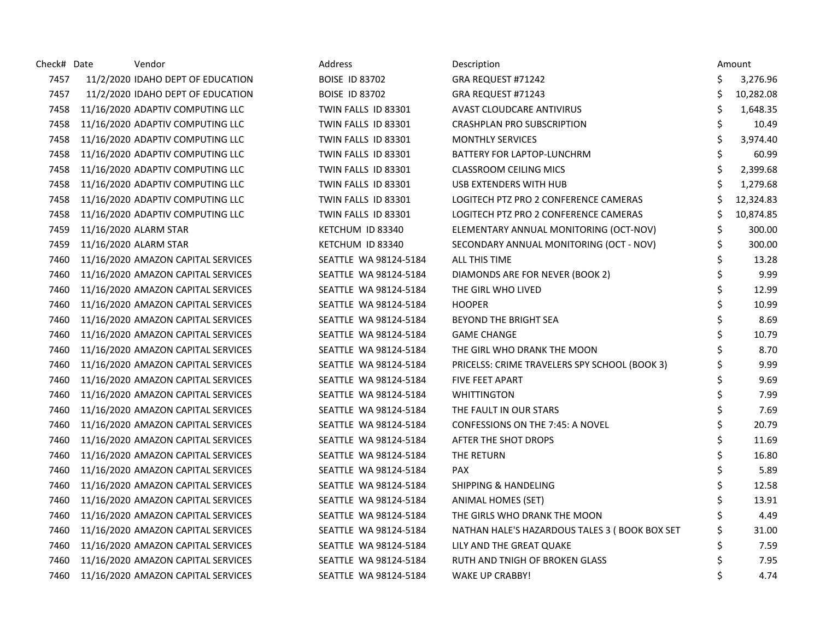| Check# Date | Vendor                             | <b>Address</b>        | Description                                    |    | Amount    |
|-------------|------------------------------------|-----------------------|------------------------------------------------|----|-----------|
| 7457        | 11/2/2020 IDAHO DEPT OF EDUCATION  | <b>BOISE ID 83702</b> | GRA REQUEST #71242                             | Ś  | 3,276.96  |
| 7457        | 11/2/2020 IDAHO DEPT OF EDUCATION  | <b>BOISE ID 83702</b> | GRA REQUEST #71243                             | Ś  | 10,282.08 |
| 7458        | 11/16/2020 ADAPTIV COMPUTING LLC   | TWIN FALLS ID 83301   | <b>AVAST CLOUDCARE ANTIVIRUS</b>               | Ś. | 1,648.35  |
| 7458        | 11/16/2020 ADAPTIV COMPUTING LLC   | TWIN FALLS ID 83301   | CRASHPLAN PRO SUBSCRIPTION                     | \$ | 10.49     |
| 7458        | 11/16/2020 ADAPTIV COMPUTING LLC   | TWIN FALLS ID 83301   | <b>MONTHLY SERVICES</b>                        | \$ | 3,974.40  |
| 7458        | 11/16/2020 ADAPTIV COMPUTING LLC   | TWIN FALLS ID 83301   | BATTERY FOR LAPTOP-LUNCHRM                     | \$ | 60.99     |
| 7458        | 11/16/2020 ADAPTIV COMPUTING LLC   | TWIN FALLS ID 83301   | <b>CLASSROOM CEILING MICS</b>                  | \$ | 2,399.68  |
| 7458        | 11/16/2020 ADAPTIV COMPUTING LLC   | TWIN FALLS ID 83301   | USB EXTENDERS WITH HUB                         |    | 1,279.68  |
| 7458        | 11/16/2020 ADAPTIV COMPUTING LLC   | TWIN FALLS ID 83301   | LOGITECH PTZ PRO 2 CONFERENCE CAMERAS          |    | 12,324.83 |
| 7458        | 11/16/2020 ADAPTIV COMPUTING LLC   | TWIN FALLS ID 83301   | LOGITECH PTZ PRO 2 CONFERENCE CAMERAS          | Ś  | 10,874.85 |
| 7459        | 11/16/2020 ALARM STAR              | KETCHUM ID 83340      | ELEMENTARY ANNUAL MONITORING (OCT-NOV)         | \$ | 300.00    |
| 7459        | 11/16/2020 ALARM STAR              | KETCHUM ID 83340      | SECONDARY ANNUAL MONITORING (OCT - NOV)        | \$ | 300.00    |
| 7460        | 11/16/2020 AMAZON CAPITAL SERVICES | SEATTLE WA 98124-5184 | ALL THIS TIME                                  | \$ | 13.28     |
| 7460        | 11/16/2020 AMAZON CAPITAL SERVICES | SEATTLE WA 98124-5184 | DIAMONDS ARE FOR NEVER (BOOK 2)                | \$ | 9.99      |
| 7460        | 11/16/2020 AMAZON CAPITAL SERVICES | SEATTLE WA 98124-5184 | THE GIRL WHO LIVED                             | \$ | 12.99     |
| 7460        | 11/16/2020 AMAZON CAPITAL SERVICES | SEATTLE WA 98124-5184 | <b>HOOPER</b>                                  | Ś  | 10.99     |
| 7460        | 11/16/2020 AMAZON CAPITAL SERVICES | SEATTLE WA 98124-5184 | <b>BEYOND THE BRIGHT SEA</b>                   | Ś. | 8.69      |
| 7460        | 11/16/2020 AMAZON CAPITAL SERVICES | SEATTLE WA 98124-5184 | <b>GAME CHANGE</b>                             |    | 10.79     |
| 7460        | 11/16/2020 AMAZON CAPITAL SERVICES | SEATTLE WA 98124-5184 | THE GIRL WHO DRANK THE MOON                    |    | 8.70      |
| 7460        | 11/16/2020 AMAZON CAPITAL SERVICES | SEATTLE WA 98124-5184 | PRICELSS: CRIME TRAVELERS SPY SCHOOL (BOOK 3)  |    | 9.99      |
| 7460        | 11/16/2020 AMAZON CAPITAL SERVICES | SEATTLE WA 98124-5184 | <b>FIVE FEET APART</b>                         | Ś  | 9.69      |
| 7460        | 11/16/2020 AMAZON CAPITAL SERVICES | SEATTLE WA 98124-5184 | <b>WHITTINGTON</b>                             | Ś  | 7.99      |
| 7460        | 11/16/2020 AMAZON CAPITAL SERVICES | SEATTLE WA 98124-5184 | THE FAULT IN OUR STARS                         | Ś  | 7.69      |
| 7460        | 11/16/2020 AMAZON CAPITAL SERVICES | SEATTLE WA 98124-5184 | <b>CONFESSIONS ON THE 7:45: A NOVEL</b>        | Ś. | 20.79     |
| 7460        | 11/16/2020 AMAZON CAPITAL SERVICES | SEATTLE WA 98124-5184 | AFTER THE SHOT DROPS                           |    | 11.69     |
| 7460        | 11/16/2020 AMAZON CAPITAL SERVICES | SEATTLE WA 98124-5184 | THE RETURN                                     | \$ | 16.80     |
| 7460        | 11/16/2020 AMAZON CAPITAL SERVICES | SEATTLE WA 98124-5184 | <b>PAX</b>                                     | \$ | 5.89      |
| 7460        | 11/16/2020 AMAZON CAPITAL SERVICES | SEATTLE WA 98124-5184 | <b>SHIPPING &amp; HANDELING</b>                | \$ | 12.58     |
| 7460        | 11/16/2020 AMAZON CAPITAL SERVICES | SEATTLE WA 98124-5184 | ANIMAL HOMES (SET)                             | Ś. | 13.91     |
| 7460        | 11/16/2020 AMAZON CAPITAL SERVICES | SEATTLE WA 98124-5184 | THE GIRLS WHO DRANK THE MOON                   |    | 4.49      |
| 7460        | 11/16/2020 AMAZON CAPITAL SERVICES | SEATTLE WA 98124-5184 | NATHAN HALE'S HAZARDOUS TALES 3 ( BOOK BOX SET |    | 31.00     |
| 7460        | 11/16/2020 AMAZON CAPITAL SERVICES | SEATTLE WA 98124-5184 | LILY AND THE GREAT QUAKE                       |    | 7.59      |
| 7460        | 11/16/2020 AMAZON CAPITAL SERVICES | SEATTLE WA 98124-5184 | RUTH AND TNIGH OF BROKEN GLASS                 |    | 7.95      |
| 7460        | 11/16/2020 AMAZON CAPITAL SERVICES | SEATTLE WA 98124-5184 | <b>WAKE UP CRABBY!</b>                         | Ś  | 4.74      |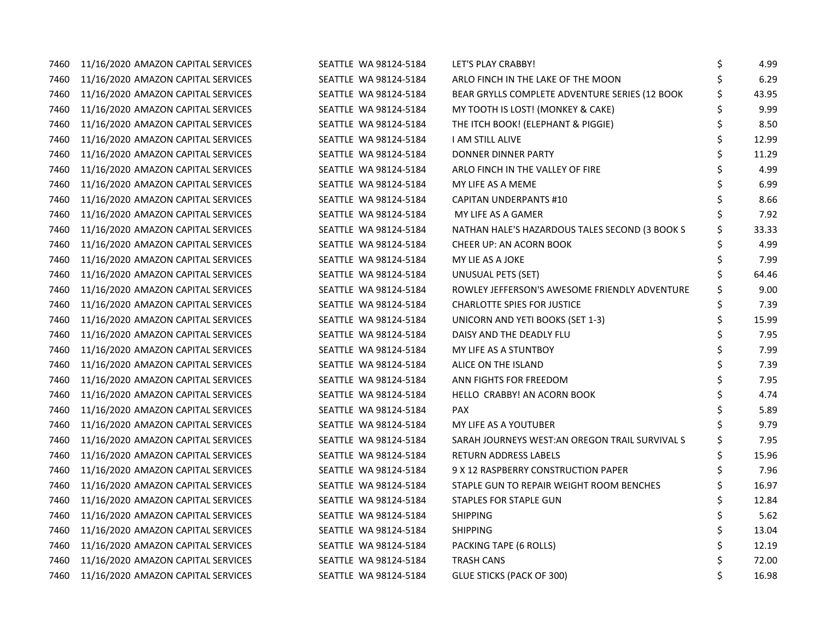| 7460 | 11/16/2020 AMAZON CAPITAL SERVICES | SEATTLE WA 98124-5184 | LET'S PLAY CRABBY!                             | \$ | 4.99  |
|------|------------------------------------|-----------------------|------------------------------------------------|----|-------|
| 7460 | 11/16/2020 AMAZON CAPITAL SERVICES | SEATTLE WA 98124-5184 | ARLO FINCH IN THE LAKE OF THE MOON             |    | 6.29  |
| 7460 | 11/16/2020 AMAZON CAPITAL SERVICES | SEATTLE WA 98124-5184 | BEAR GRYLLS COMPLETE ADVENTURE SERIES (12 BOOK | \$ | 43.95 |
| 7460 | 11/16/2020 AMAZON CAPITAL SERVICES | SEATTLE WA 98124-5184 | MY TOOTH IS LOST! (MONKEY & CAKE)              | Ś  | 9.99  |
| 7460 | 11/16/2020 AMAZON CAPITAL SERVICES | SEATTLE WA 98124-5184 | THE ITCH BOOK! (ELEPHANT & PIGGIE)             | Ś. | 8.50  |
| 7460 | 11/16/2020 AMAZON CAPITAL SERVICES | SEATTLE WA 98124-5184 | I AM STILL ALIVE                               |    | 12.99 |
| 7460 | 11/16/2020 AMAZON CAPITAL SERVICES | SEATTLE WA 98124-5184 | DONNER DINNER PARTY                            |    | 11.29 |
| 7460 | 11/16/2020 AMAZON CAPITAL SERVICES | SEATTLE WA 98124-5184 | ARLO FINCH IN THE VALLEY OF FIRE               | Ś. | 4.99  |
| 7460 | 11/16/2020 AMAZON CAPITAL SERVICES | SEATTLE WA 98124-5184 | MY LIFE AS A MEME                              |    | 6.99  |
| 7460 | 11/16/2020 AMAZON CAPITAL SERVICES | SEATTLE WA 98124-5184 | <b>CAPITAN UNDERPANTS #10</b>                  |    | 8.66  |
| 7460 | 11/16/2020 AMAZON CAPITAL SERVICES | SEATTLE WA 98124-5184 | MY LIFE AS A GAMER                             |    | 7.92  |
| 7460 | 11/16/2020 AMAZON CAPITAL SERVICES | SEATTLE WA 98124-5184 | NATHAN HALE'S HAZARDOUS TALES SECOND (3 BOOK S |    | 33.33 |
| 7460 | 11/16/2020 AMAZON CAPITAL SERVICES | SEATTLE WA 98124-5184 | <b>CHEER UP: AN ACORN BOOK</b>                 |    | 4.99  |
| 7460 | 11/16/2020 AMAZON CAPITAL SERVICES | SEATTLE WA 98124-5184 | MY LIE AS A JOKE                               |    | 7.99  |
| 7460 | 11/16/2020 AMAZON CAPITAL SERVICES | SEATTLE WA 98124-5184 | UNUSUAL PETS (SET)                             | \$ | 64.46 |
| 7460 | 11/16/2020 AMAZON CAPITAL SERVICES | SEATTLE WA 98124-5184 | ROWLEY JEFFERSON'S AWESOME FRIENDLY ADVENTURE  | Ś  | 9.00  |
| 7460 | 11/16/2020 AMAZON CAPITAL SERVICES | SEATTLE WA 98124-5184 | <b>CHARLOTTE SPIES FOR JUSTICE</b>             |    | 7.39  |
| 7460 | 11/16/2020 AMAZON CAPITAL SERVICES | SEATTLE WA 98124-5184 | UNICORN AND YETI BOOKS (SET 1-3)               | Ś. | 15.99 |
| 7460 | 11/16/2020 AMAZON CAPITAL SERVICES | SEATTLE WA 98124-5184 | DAISY AND THE DEADLY FLU                       |    | 7.95  |
| 7460 | 11/16/2020 AMAZON CAPITAL SERVICES | SEATTLE WA 98124-5184 | MY LIFE AS A STUNTBOY                          |    | 7.99  |
| 7460 | 11/16/2020 AMAZON CAPITAL SERVICES | SEATTLE WA 98124-5184 | ALICE ON THE ISLAND                            | \$ | 7.39  |
| 7460 | 11/16/2020 AMAZON CAPITAL SERVICES | SEATTLE WA 98124-5184 | ANN FIGHTS FOR FREEDOM                         | Ś. | 7.95  |
| 7460 | 11/16/2020 AMAZON CAPITAL SERVICES | SEATTLE WA 98124-5184 | HELLO CRABBY! AN ACORN BOOK                    | \$ | 4.74  |
| 7460 | 11/16/2020 AMAZON CAPITAL SERVICES | SEATTLE WA 98124-5184 | <b>PAX</b>                                     |    | 5.89  |
| 7460 | 11/16/2020 AMAZON CAPITAL SERVICES | SEATTLE WA 98124-5184 | MY LIFE AS A YOUTUBER                          |    | 9.79  |
| 7460 | 11/16/2020 AMAZON CAPITAL SERVICES | SEATTLE WA 98124-5184 | SARAH JOURNEYS WEST: AN OREGON TRAIL SURVIVALS |    | 7.95  |
| 7460 | 11/16/2020 AMAZON CAPITAL SERVICES | SEATTLE WA 98124-5184 | <b>RETURN ADDRESS LABELS</b>                   |    | 15.96 |
| 7460 | 11/16/2020 AMAZON CAPITAL SERVICES | SEATTLE WA 98124-5184 | 9 X 12 RASPBERRY CONSTRUCTION PAPER            | \$ | 7.96  |
| 7460 | 11/16/2020 AMAZON CAPITAL SERVICES | SEATTLE WA 98124-5184 | STAPLE GUN TO REPAIR WEIGHT ROOM BENCHES       | Ś  | 16.97 |
| 7460 | 11/16/2020 AMAZON CAPITAL SERVICES | SEATTLE WA 98124-5184 | <b>STAPLES FOR STAPLE GUN</b>                  |    | 12.84 |
| 7460 | 11/16/2020 AMAZON CAPITAL SERVICES | SEATTLE WA 98124-5184 | <b>SHIPPING</b>                                |    | 5.62  |
| 7460 | 11/16/2020 AMAZON CAPITAL SERVICES | SEATTLE WA 98124-5184 | <b>SHIPPING</b>                                | Ś. | 13.04 |
| 7460 | 11/16/2020 AMAZON CAPITAL SERVICES | SEATTLE WA 98124-5184 | PACKING TAPE (6 ROLLS)                         |    | 12.19 |
| 7460 | 11/16/2020 AMAZON CAPITAL SERVICES | SEATTLE WA 98124-5184 | <b>TRASH CANS</b>                              |    | 72.00 |
| 7460 | 11/16/2020 AMAZON CAPITAL SERVICES | SEATTLE WA 98124-5184 | <b>GLUE STICKS (PACK OF 300)</b>               | Ś  | 16.98 |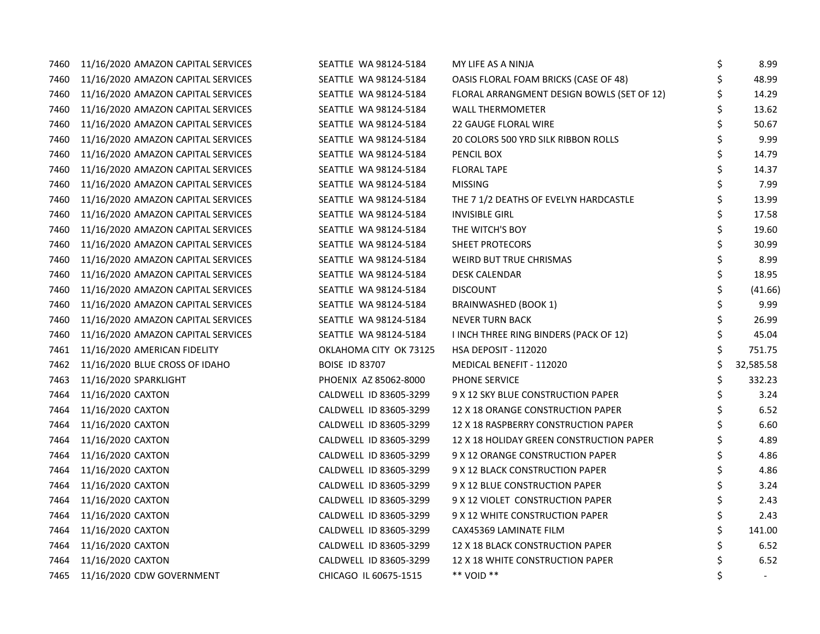| 7460 | 11/16/2020 AMAZON CAPITAL SERVICES | SEATTLE WA 98124-5184  | MY LIFE AS A NINJA                         | \$ | 8.99      |
|------|------------------------------------|------------------------|--------------------------------------------|----|-----------|
| 7460 | 11/16/2020 AMAZON CAPITAL SERVICES | SEATTLE WA 98124-5184  | OASIS FLORAL FOAM BRICKS (CASE OF 48)      | \$ | 48.99     |
| 7460 | 11/16/2020 AMAZON CAPITAL SERVICES | SEATTLE WA 98124-5184  | FLORAL ARRANGMENT DESIGN BOWLS (SET OF 12) | Ś  | 14.29     |
| 7460 | 11/16/2020 AMAZON CAPITAL SERVICES | SEATTLE WA 98124-5184  | <b>WALL THERMOMETER</b>                    | Ś  | 13.62     |
| 7460 | 11/16/2020 AMAZON CAPITAL SERVICES | SEATTLE WA 98124-5184  | <b>22 GAUGE FLORAL WIRE</b>                | \$ | 50.67     |
| 7460 | 11/16/2020 AMAZON CAPITAL SERVICES | SEATTLE WA 98124-5184  | 20 COLORS 500 YRD SILK RIBBON ROLLS        |    | 9.99      |
| 7460 | 11/16/2020 AMAZON CAPITAL SERVICES | SEATTLE WA 98124-5184  | PENCIL BOX                                 |    | 14.79     |
| 7460 | 11/16/2020 AMAZON CAPITAL SERVICES | SEATTLE WA 98124-5184  | <b>FLORAL TAPE</b>                         | \$ | 14.37     |
| 7460 | 11/16/2020 AMAZON CAPITAL SERVICES | SEATTLE WA 98124-5184  | <b>MISSING</b>                             | \$ | 7.99      |
| 7460 | 11/16/2020 AMAZON CAPITAL SERVICES | SEATTLE WA 98124-5184  | THE 7 1/2 DEATHS OF EVELYN HARDCASTLE      | \$ | 13.99     |
| 7460 | 11/16/2020 AMAZON CAPITAL SERVICES | SEATTLE WA 98124-5184  | <b>INVISIBLE GIRL</b>                      |    | 17.58     |
| 7460 | 11/16/2020 AMAZON CAPITAL SERVICES | SEATTLE WA 98124-5184  | THE WITCH'S BOY                            |    | 19.60     |
| 7460 | 11/16/2020 AMAZON CAPITAL SERVICES | SEATTLE WA 98124-5184  | SHEET PROTECORS                            |    | 30.99     |
| 7460 | 11/16/2020 AMAZON CAPITAL SERVICES | SEATTLE WA 98124-5184  | <b>WEIRD BUT TRUE CHRISMAS</b>             |    | 8.99      |
| 7460 | 11/16/2020 AMAZON CAPITAL SERVICES | SEATTLE WA 98124-5184  | <b>DESK CALENDAR</b>                       | \$ | 18.95     |
| 7460 | 11/16/2020 AMAZON CAPITAL SERVICES | SEATTLE WA 98124-5184  | <b>DISCOUNT</b>                            | \$ | (41.66)   |
| 7460 | 11/16/2020 AMAZON CAPITAL SERVICES | SEATTLE WA 98124-5184  | <b>BRAINWASHED (BOOK 1)</b>                | \$ | 9.99      |
| 7460 | 11/16/2020 AMAZON CAPITAL SERVICES | SEATTLE WA 98124-5184  | <b>NEVER TURN BACK</b>                     | \$ | 26.99     |
| 7460 | 11/16/2020 AMAZON CAPITAL SERVICES | SEATTLE WA 98124-5184  | I INCH THREE RING BINDERS (PACK OF 12)     | \$ | 45.04     |
| 7461 | 11/16/2020 AMERICAN FIDELITY       | OKLAHOMA CITY OK 73125 | <b>HSA DEPOSIT - 112020</b>                |    | 751.75    |
| 7462 | 11/16/2020 BLUE CROSS OF IDAHO     | <b>BOISE ID 83707</b>  | MEDICAL BENEFIT - 112020                   | \$ | 32,585.58 |
| 7463 | 11/16/2020 SPARKLIGHT              | PHOENIX AZ 85062-8000  | PHONE SERVICE                              | \$ | 332.23    |
| 7464 | 11/16/2020 CAXTON                  | CALDWELL ID 83605-3299 | 9 X 12 SKY BLUE CONSTRUCTION PAPER         | Ś  | 3.24      |
| 7464 | 11/16/2020 CAXTON                  | CALDWELL ID 83605-3299 | 12 X 18 ORANGE CONSTRUCTION PAPER          | Ś  | 6.52      |
| 7464 | 11/16/2020 CAXTON                  | CALDWELL ID 83605-3299 | 12 X 18 RASPBERRY CONSTRUCTION PAPER       |    | 6.60      |
| 7464 | 11/16/2020 CAXTON                  | CALDWELL ID 83605-3299 | 12 X 18 HOLIDAY GREEN CONSTRUCTION PAPER   |    | 4.89      |
| 7464 | 11/16/2020 CAXTON                  | CALDWELL ID 83605-3299 | 9 X 12 ORANGE CONSTRUCTION PAPER           |    | 4.86      |
| 7464 | 11/16/2020 CAXTON                  | CALDWELL ID 83605-3299 | 9 X 12 BLACK CONSTRUCTION PAPER            | \$ | 4.86      |
| 7464 | 11/16/2020 CAXTON                  | CALDWELL ID 83605-3299 | 9 X 12 BLUE CONSTRUCTION PAPER             | \$ | 3.24      |
| 7464 | 11/16/2020 CAXTON                  | CALDWELL ID 83605-3299 | 9 X 12 VIOLET CONSTRUCTION PAPER           | \$ | 2.43      |
| 7464 | 11/16/2020 CAXTON                  | CALDWELL ID 83605-3299 | 9 X 12 WHITE CONSTRUCTION PAPER            | \$ | 2.43      |
| 7464 | 11/16/2020 CAXTON                  | CALDWELL ID 83605-3299 | CAX45369 LAMINATE FILM                     | \$ | 141.00    |
| 7464 | 11/16/2020 CAXTON                  | CALDWELL ID 83605-3299 | 12 X 18 BLACK CONSTRUCTION PAPER           |    | 6.52      |
| 7464 | 11/16/2020 CAXTON                  | CALDWELL ID 83605-3299 | 12 X 18 WHITE CONSTRUCTION PAPER           |    | 6.52      |
| 7465 | 11/16/2020 CDW GOVERNMENT          | CHICAGO IL 60675-1515  | ** VOID **                                 | \$ | $\sim$    |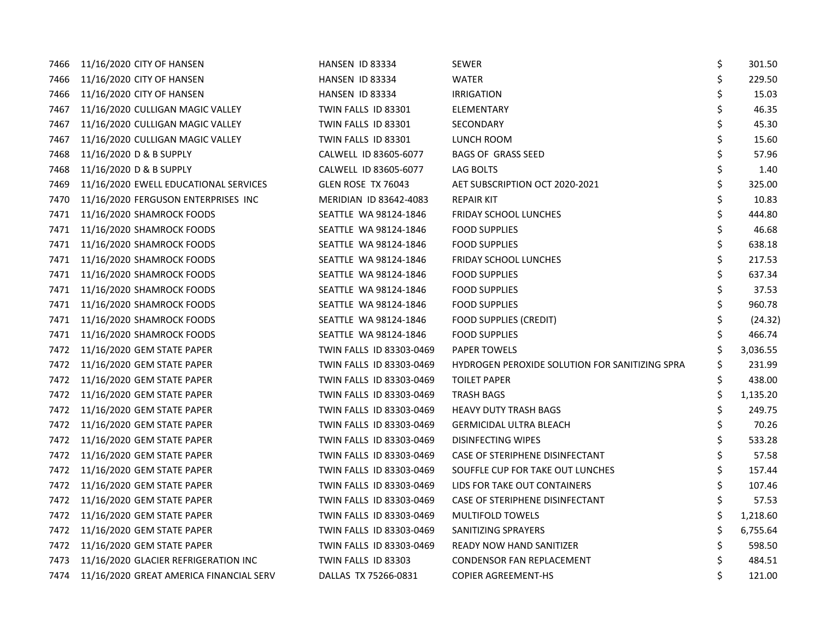| 7466 | 11/16/2020 CITY OF HANSEN               | HANSEN ID 83334          | <b>SEWER</b>                                   | \$ | 301.50   |
|------|-----------------------------------------|--------------------------|------------------------------------------------|----|----------|
| 7466 | 11/16/2020 CITY OF HANSEN               | HANSEN ID 83334          | <b>WATER</b>                                   | \$ | 229.50   |
| 7466 | 11/16/2020 CITY OF HANSEN               | HANSEN ID 83334          | <b>IRRIGATION</b>                              | \$ | 15.03    |
| 7467 | 11/16/2020 CULLIGAN MAGIC VALLEY        | TWIN FALLS ID 83301      | ELEMENTARY                                     | \$ | 46.35    |
| 7467 | 11/16/2020 CULLIGAN MAGIC VALLEY        | TWIN FALLS ID 83301      | SECONDARY                                      | \$ | 45.30    |
| 7467 | 11/16/2020 CULLIGAN MAGIC VALLEY        | TWIN FALLS ID 83301      | LUNCH ROOM                                     | \$ | 15.60    |
| 7468 | 11/16/2020 D & B SUPPLY                 | CALWELL ID 83605-6077    | <b>BAGS OF GRASS SEED</b>                      | \$ | 57.96    |
| 7468 | 11/16/2020 D & B SUPPLY                 | CALWELL ID 83605-6077    | LAG BOLTS                                      | \$ | 1.40     |
| 7469 | 11/16/2020 EWELL EDUCATIONAL SERVICES   | GLEN ROSE TX 76043       | AET SUBSCRIPTION OCT 2020-2021                 | \$ | 325.00   |
| 7470 | 11/16/2020 FERGUSON ENTERPRISES INC     | MERIDIAN ID 83642-4083   | <b>REPAIR KIT</b>                              |    | 10.83    |
| 7471 | 11/16/2020 SHAMROCK FOODS               | SEATTLE WA 98124-1846    | <b>FRIDAY SCHOOL LUNCHES</b>                   | Ś. | 444.80   |
| 7471 | 11/16/2020 SHAMROCK FOODS               | SEATTLE WA 98124-1846    | <b>FOOD SUPPLIES</b>                           |    | 46.68    |
| 7471 | 11/16/2020 SHAMROCK FOODS               | SEATTLE WA 98124-1846    | <b>FOOD SUPPLIES</b>                           | \$ | 638.18   |
| 7471 | 11/16/2020 SHAMROCK FOODS               | SEATTLE WA 98124-1846    | <b>FRIDAY SCHOOL LUNCHES</b>                   | \$ | 217.53   |
| 7471 | 11/16/2020 SHAMROCK FOODS               | SEATTLE WA 98124-1846    | <b>FOOD SUPPLIES</b>                           | \$ | 637.34   |
| 7471 | 11/16/2020 SHAMROCK FOODS               | SEATTLE WA 98124-1846    | <b>FOOD SUPPLIES</b>                           | \$ | 37.53    |
| 7471 | 11/16/2020 SHAMROCK FOODS               | SEATTLE WA 98124-1846    | <b>FOOD SUPPLIES</b>                           | \$ | 960.78   |
| 7471 | 11/16/2020 SHAMROCK FOODS               | SEATTLE WA 98124-1846    | <b>FOOD SUPPLIES (CREDIT)</b>                  | \$ | (24.32)  |
| 7471 | 11/16/2020 SHAMROCK FOODS               | SEATTLE WA 98124-1846    | <b>FOOD SUPPLIES</b>                           | \$ | 466.74   |
|      | 7472 11/16/2020 GEM STATE PAPER         | TWIN FALLS ID 83303-0469 | <b>PAPER TOWELS</b>                            |    | 3,036.55 |
| 7472 | 11/16/2020 GEM STATE PAPER              | TWIN FALLS ID 83303-0469 | HYDROGEN PEROXIDE SOLUTION FOR SANITIZING SPRA | \$ | 231.99   |
| 7472 | 11/16/2020 GEM STATE PAPER              | TWIN FALLS ID 83303-0469 | <b>TOILET PAPER</b>                            | \$ | 438.00   |
| 7472 | 11/16/2020 GEM STATE PAPER              | TWIN FALLS ID 83303-0469 | <b>TRASH BAGS</b>                              | \$ | 1,135.20 |
| 7472 | 11/16/2020 GEM STATE PAPER              | TWIN FALLS ID 83303-0469 | <b>HEAVY DUTY TRASH BAGS</b>                   | \$ | 249.75   |
| 7472 | 11/16/2020 GEM STATE PAPER              | TWIN FALLS ID 83303-0469 | <b>GERMICIDAL ULTRA BLEACH</b>                 | Ś. | 70.26    |
| 7472 | 11/16/2020 GEM STATE PAPER              | TWIN FALLS ID 83303-0469 | <b>DISINFECTING WIPES</b>                      | \$ | 533.28   |
| 7472 | 11/16/2020 GEM STATE PAPER              | TWIN FALLS ID 83303-0469 | CASE OF STERIPHENE DISINFECTANT                | \$ | 57.58    |
|      | 7472 11/16/2020 GEM STATE PAPER         | TWIN FALLS ID 83303-0469 | SOUFFLE CUP FOR TAKE OUT LUNCHES               | \$ | 157.44   |
| 7472 | 11/16/2020 GEM STATE PAPER              | TWIN FALLS ID 83303-0469 | LIDS FOR TAKE OUT CONTAINERS                   | \$ | 107.46   |
| 7472 | 11/16/2020 GEM STATE PAPER              | TWIN FALLS ID 83303-0469 | CASE OF STERIPHENE DISINFECTANT                | Ś. | 57.53    |
| 7472 | 11/16/2020 GEM STATE PAPER              | TWIN FALLS ID 83303-0469 | <b>MULTIFOLD TOWELS</b>                        | Ś. | 1,218.60 |
| 7472 | 11/16/2020 GEM STATE PAPER              | TWIN FALLS ID 83303-0469 | SANITIZING SPRAYERS                            | Ś. | 6,755.64 |
| 7472 | 11/16/2020 GEM STATE PAPER              | TWIN FALLS ID 83303-0469 | READY NOW HAND SANITIZER                       | \$ | 598.50   |
| 7473 | 11/16/2020 GLACIER REFRIGERATION INC    | TWIN FALLS ID 83303      | <b>CONDENSOR FAN REPLACEMENT</b>               |    | 484.51   |
| 7474 | 11/16/2020 GREAT AMERICA FINANCIAL SERV | DALLAS TX 75266-0831     | <b>COPIER AGREEMENT-HS</b>                     | \$ | 121.00   |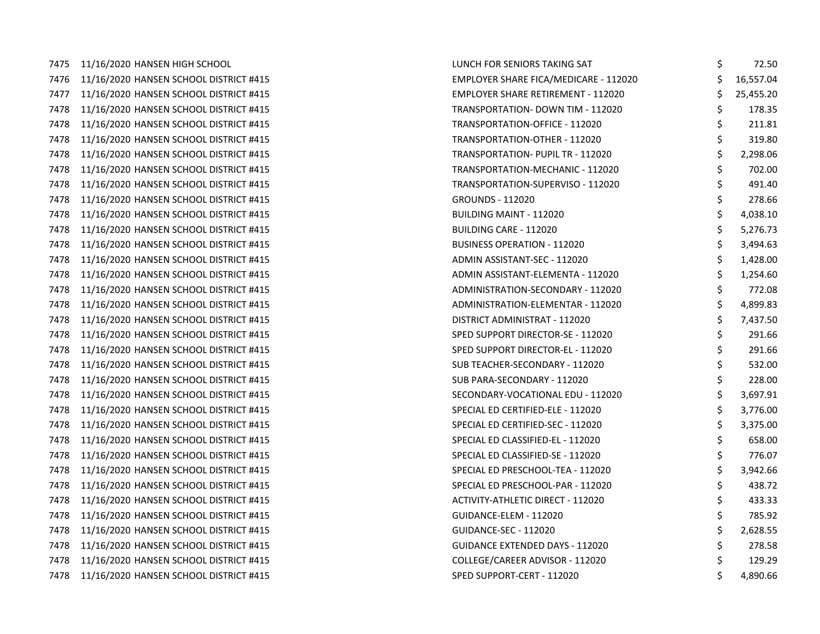7475 11/16/2020 HANSEN HIGH SCHOOL 7476 11/16/2020 HANSEN SCHOOL DISTRICT #415 7477 11/16/2020 HANSEN SCHOOL DISTRICT #415 7478 11/16/2020 HANSEN SCHOOL DISTRICT #415 7478 11/16/2020 HANSEN SCHOOL DISTRICT #415 7478 11/16/2020 HANSEN SCHOOL DISTRICT #415 7478 11/16/2020 HANSEN SCHOOL DISTRICT #415 7478 11/16/2020 HANSEN SCHOOL DISTRICT #415 7478 11/16/2020 HANSEN SCHOOL DISTRICT #415 7478 11/16/2020 HANSEN SCHOOL DISTRICT #415 7478 11/16/2020 HANSEN SCHOOL DISTRICT #415 7478 11/16/2020 HANSEN SCHOOL DISTRICT #415 7478 11/16/2020 HANSEN SCHOOL DISTRICT #415 7478 11/16/2020 HANSEN SCHOOL DISTRICT #415 7478 11/16/2020 HANSEN SCHOOL DISTRICT #415 7478 11/16/2020 HANSEN SCHOOL DISTRICT #415 7478 11/16/2020 HANSEN SCHOOL DISTRICT #415 7478 11/16/2020 HANSEN SCHOOL DISTRICT #415 7478 11/16/2020 HANSEN SCHOOL DISTRICT #415 7478 11/16/2020 HANSEN SCHOOL DISTRICT #415 7478 11/16/2020 HANSEN SCHOOL DISTRICT #415 7478 11/16/2020 HANSEN SCHOOL DISTRICT #415 7478 11/16/2020 HANSEN SCHOOL DISTRICT #415 7478 11/16/2020 HANSEN SCHOOL DISTRICT #415 7478 11/16/2020 HANSEN SCHOOL DISTRICT #415 7478 11/16/2020 HANSEN SCHOOL DISTRICT #415 7478 11/16/2020 HANSEN SCHOOL DISTRICT #415 7478 11/16/2020 HANSEN SCHOOL DISTRICT #415 7478 11/16/2020 HANSEN SCHOOL DISTRICT #415 7478 11/16/2020 HANSEN SCHOOL DISTRICT #415 7478 11/16/2020 HANSEN SCHOOL DISTRICT #415 7478 11/16/2020 HANSEN SCHOOL DISTRICT #415 7478 11/16/2020 HANSEN SCHOOL DISTRICT #415 7478 11/16/2020 HANSEN SCHOOL DISTRICT #415 7478 11/16/2020 HANSEN SCHOOL DISTRICT #415

| LUNCH FOR SENIORS TAKING SAT              | \$<br>72.50     |
|-------------------------------------------|-----------------|
| EMPLOYER SHARE FICA/MEDICARE - 112020     | \$<br>16,557.04 |
| <b>EMPLOYER SHARE RETIREMENT - 112020</b> | \$<br>25,455.20 |
| TRANSPORTATION- DOWN TIM - 112020         | \$<br>178.35    |
| TRANSPORTATION-OFFICE - 112020            | \$<br>211.81    |
| TRANSPORTATION-OTHER - 112020             | \$<br>319.80    |
| TRANSPORTATION- PUPIL TR - 112020         | \$<br>2,298.06  |
| TRANSPORTATION-MECHANIC - 112020          | \$<br>702.00    |
| TRANSPORTATION-SUPERVISO - 112020         | \$<br>491.40    |
| <b>GROUNDS - 112020</b>                   | \$<br>278.66    |
| <b>BUILDING MAINT - 112020</b>            | \$<br>4,038.10  |
| <b>BUILDING CARE - 112020</b>             | \$<br>5,276.73  |
| <b>BUSINESS OPERATION - 112020</b>        | \$<br>3,494.63  |
| ADMIN ASSISTANT-SEC - 112020              | \$<br>1,428.00  |
| ADMIN ASSISTANT-ELEMENTA - 112020         | \$<br>1,254.60  |
| ADMINISTRATION-SECONDARY - 112020         | \$<br>772.08    |
| ADMINISTRATION-ELEMENTAR - 112020         | \$<br>4,899.83  |
| DISTRICT ADMINISTRAT - 112020             | \$<br>7,437.50  |
| SPED SUPPORT DIRECTOR-SE - 112020         | \$<br>291.66    |
| SPED SUPPORT DIRECTOR-EL - 112020         | \$<br>291.66    |
| SUB TEACHER-SECONDARY - 112020            | \$<br>532.00    |
| SUB PARA-SECONDARY - 112020               | \$<br>228.00    |
| SECONDARY-VOCATIONAL EDU - 112020         | \$<br>3,697.91  |
| SPECIAL ED CERTIFIED-ELE - 112020         | \$<br>3,776.00  |
| SPECIAL ED CERTIFIED-SEC - 112020         | \$<br>3,375.00  |
| SPECIAL ED CLASSIFIED-EL - 112020         | \$<br>658.00    |
| SPECIAL ED CLASSIFIED-SE - 112020         | \$<br>776.07    |
| SPECIAL ED PRESCHOOL-TEA - 112020         | \$<br>3,942.66  |
| SPECIAL ED PRESCHOOL-PAR - 112020         | \$<br>438.72    |
| ACTIVITY-ATHLETIC DIRECT - 112020         | \$<br>433.33    |
| GUIDANCE-ELEM - 112020                    | \$<br>785.92    |
| <b>GUIDANCE-SEC - 112020</b>              | \$<br>2,628.55  |
| <b>GUIDANCE EXTENDED DAYS - 112020</b>    | \$<br>278.58    |
| COLLEGE/CAREER ADVISOR - 112020           | \$<br>129.29    |
| SPED SUPPORT-CERT - 112020                | \$<br>4,890.66  |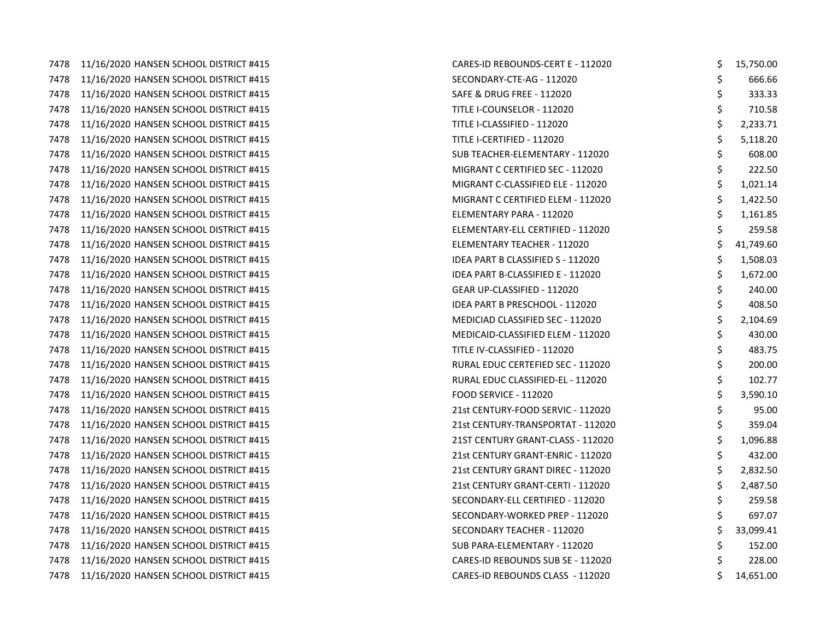7478 11/16/2020 HANSEN SCHOOL DISTRICT #415 7478 11/16/2020 HANSEN SCHOOL DISTRICT #415 7478 11/16/2020 HANSEN SCHOOL DISTRICT #415 7478 11/16/2020 HANSEN SCHOOL DISTRICT #415 7478 11/16/2020 HANSEN SCHOOL DISTRICT #415 7478 11/16/2020 HANSEN SCHOOL DISTRICT #415 7478 11/16/2020 HANSEN SCHOOL DISTRICT #415 7478 11/16/2020 HANSEN SCHOOL DISTRICT #415 7478 11/16/2020 HANSEN SCHOOL DISTRICT #415 7478 11/16/2020 HANSEN SCHOOL DISTRICT #415 7478 11/16/2020 HANSEN SCHOOL DISTRICT #415 7478 11/16/2020 HANSEN SCHOOL DISTRICT #415 7478 11/16/2020 HANSEN SCHOOL DISTRICT #415 7478 11/16/2020 HANSEN SCHOOL DISTRICT #415 7478 11/16/2020 HANSEN SCHOOL DISTRICT #415 7478 11/16/2020 HANSEN SCHOOL DISTRICT #415 7478 11/16/2020 HANSEN SCHOOL DISTRICT #415 7478 11/16/2020 HANSEN SCHOOL DISTRICT #415 7478 11/16/2020 HANSEN SCHOOL DISTRICT #415 7478 11/16/2020 HANSEN SCHOOL DISTRICT #415 7478 11/16/2020 HANSEN SCHOOL DISTRICT #415 7478 11/16/2020 HANSEN SCHOOL DISTRICT #415 7478 11/16/2020 HANSEN SCHOOL DISTRICT #415 7478 11/16/2020 HANSEN SCHOOL DISTRICT #415 7478 11/16/2020 HANSEN SCHOOL DISTRICT #415 7478 11/16/2020 HANSEN SCHOOL DISTRICT #415 7478 11/16/2020 HANSEN SCHOOL DISTRICT #415 7478 11/16/2020 HANSEN SCHOOL DISTRICT #415 7478 11/16/2020 HANSEN SCHOOL DISTRICT #415 7478 11/16/2020 HANSEN SCHOOL DISTRICT #415 7478 11/16/2020 HANSEN SCHOOL DISTRICT #415 7478 11/16/2020 HANSEN SCHOOL DISTRICT #415 7478 11/16/2020 HANSEN SCHOOL DISTRICT #415 7478 11/16/2020 HANSEN SCHOOL DISTRICT #415 7478 11/16/2020 HANSEN SCHOOL DISTRICT #415

| CARES-ID REBOUNDS-CERT E - 112020     | \$<br>15,750.00 |
|---------------------------------------|-----------------|
| SECONDARY-CTE-AG - 112020             | \$<br>666.66    |
| SAFE & DRUG FREE - 112020             | \$<br>333.33    |
| TITLE I-COUNSELOR - 112020            | \$<br>710.58    |
| TITLE I-CLASSIFIED - 112020           | \$<br>2,233.71  |
| TITLE I-CERTIFIED - 112020            | \$<br>5,118.20  |
| SUB TEACHER-ELEMENTARY - 112020       | \$<br>608.00    |
| MIGRANT C CERTIFIED SEC - 112020      | \$<br>222.50    |
| MIGRANT C-CLASSIFIED ELE - 112020     | \$<br>1,021.14  |
| MIGRANT C CERTIFIED ELEM - 112020     | \$<br>1,422.50  |
| ELEMENTARY PARA - 112020              | \$<br>1,161.85  |
| ELEMENTARY-ELL CERTIFIED - 112020     | \$<br>259.58    |
| ELEMENTARY TEACHER - 112020           | \$<br>41,749.60 |
| IDEA PART B CLASSIFIED S - 112020     | \$<br>1,508.03  |
| IDEA PART B-CLASSIFIED E - 112020     | \$<br>1,672.00  |
| GEAR UP-CLASSIFIED - 112020           | \$<br>240.00    |
| <b>IDEA PART B PRESCHOOL - 112020</b> | \$<br>408.50    |
| MEDICIAD CLASSIFIED SEC - 112020      | \$<br>2,104.69  |
| MEDICAID-CLASSIFIED ELEM - 112020     | \$<br>430.00    |
| TITLE IV-CLASSIFIED - 112020          | \$<br>483.75    |
| RURAL EDUC CERTEFIED SEC - 112020     | \$<br>200.00    |
| RURAL EDUC CLASSIFIED-EL - 112020     | \$<br>102.77    |
| <b>FOOD SERVICE - 112020</b>          | \$<br>3,590.10  |
| 21st CENTURY-FOOD SERVIC - 112020     | \$<br>95.00     |
| 21st CENTURY-TRANSPORTAT - 112020     | \$<br>359.04    |
| 21ST CENTURY GRANT-CLASS - 112020     | \$<br>1,096.88  |
| 21st CENTURY GRANT-ENRIC - 112020     | \$<br>432.00    |
| 21st CENTURY GRANT DIREC - 112020     | \$<br>2,832.50  |
| 21st CENTURY GRANT-CERTI - 112020     | \$<br>2,487.50  |
| SECONDARY-ELL CERTIFIED - 112020      | \$<br>259.58    |
| SECONDARY-WORKED PREP - 112020        | \$<br>697.07    |
| SECONDARY TEACHER - 112020            | \$<br>33,099.41 |
| SUB PARA-ELEMENTARY - 112020          | \$<br>152.00    |
| CARES-ID REBOUNDS SUB SE - 112020     | \$<br>228.00    |
| CARES-ID REBOUNDS CLASS - 112020      | \$<br>14,651.00 |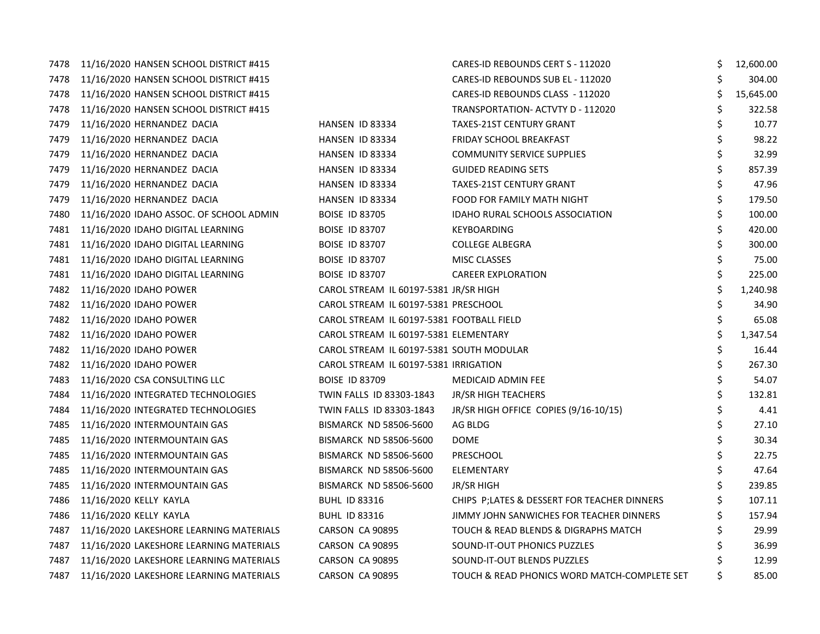| 7478 | 11/16/2020 HANSEN SCHOOL DISTRICT #415  |                                           | CARES-ID REBOUNDS CERT S - 112020            | \$  | 12,600.00 |
|------|-----------------------------------------|-------------------------------------------|----------------------------------------------|-----|-----------|
| 7478 | 11/16/2020 HANSEN SCHOOL DISTRICT #415  |                                           | CARES-ID REBOUNDS SUB EL - 112020            | \$  | 304.00    |
| 7478 | 11/16/2020 HANSEN SCHOOL DISTRICT #415  |                                           | CARES-ID REBOUNDS CLASS - 112020             | Ś   | 15,645.00 |
| 7478 | 11/16/2020 HANSEN SCHOOL DISTRICT #415  |                                           | TRANSPORTATION- ACTVTY D - 112020            | \$  | 322.58    |
| 7479 | 11/16/2020 HERNANDEZ DACIA              | HANSEN ID 83334                           | <b>TAXES-21ST CENTURY GRANT</b>              | Ś.  | 10.77     |
| 7479 | 11/16/2020 HERNANDEZ DACIA              | HANSEN ID 83334                           | <b>FRIDAY SCHOOL BREAKFAST</b>               |     | 98.22     |
| 7479 | 11/16/2020 HERNANDEZ DACIA              | HANSEN ID 83334                           | <b>COMMUNITY SERVICE SUPPLIES</b>            |     | 32.99     |
| 7479 | 11/16/2020 HERNANDEZ DACIA              | HANSEN ID 83334                           | <b>GUIDED READING SETS</b>                   | \$  | 857.39    |
| 7479 | 11/16/2020 HERNANDEZ DACIA              | HANSEN ID 83334                           | <b>TAXES-21ST CENTURY GRANT</b>              | \$  | 47.96     |
| 7479 | 11/16/2020 HERNANDEZ DACIA              | HANSEN ID 83334                           | FOOD FOR FAMILY MATH NIGHT                   | \$  | 179.50    |
| 7480 | 11/16/2020 IDAHO ASSOC. OF SCHOOL ADMIN | <b>BOISE ID 83705</b>                     | IDAHO RURAL SCHOOLS ASSOCIATION              | Ś.  | 100.00    |
| 7481 | 11/16/2020 IDAHO DIGITAL LEARNING       | <b>BOISE ID 83707</b>                     | KEYBOARDING                                  |     | 420.00    |
| 7481 | 11/16/2020 IDAHO DIGITAL LEARNING       | <b>BOISE ID 83707</b>                     | <b>COLLEGE ALBEGRA</b>                       |     | 300.00    |
| 7481 | 11/16/2020 IDAHO DIGITAL LEARNING       | <b>BOISE ID 83707</b>                     | MISC CLASSES                                 |     | 75.00     |
| 7481 | 11/16/2020 IDAHO DIGITAL LEARNING       | <b>BOISE ID 83707</b>                     | <b>CAREER EXPLORATION</b>                    | \$  | 225.00    |
| 7482 | 11/16/2020 IDAHO POWER                  | CAROL STREAM IL 60197-5381 JR/SR HIGH     |                                              | \$  | 1,240.98  |
| 7482 | 11/16/2020 IDAHO POWER                  | CAROL STREAM IL 60197-5381 PRESCHOOL      |                                              |     | 34.90     |
| 7482 | 11/16/2020 IDAHO POWER                  | CAROL STREAM IL 60197-5381 FOOTBALL FIELD |                                              | \$  | 65.08     |
| 7482 | 11/16/2020 IDAHO POWER                  | CAROL STREAM IL 60197-5381 ELEMENTARY     |                                              | \$  | 1,347.54  |
| 7482 | 11/16/2020 IDAHO POWER                  | CAROL STREAM IL 60197-5381 SOUTH MODULAR  |                                              |     | 16.44     |
| 7482 | 11/16/2020 IDAHO POWER                  | CAROL STREAM IL 60197-5381 IRRIGATION     |                                              | \$  | 267.30    |
| 7483 | 11/16/2020 CSA CONSULTING LLC           | <b>BOISE ID 83709</b>                     | MEDICAID ADMIN FEE                           | \$  | 54.07     |
| 7484 | 11/16/2020 INTEGRATED TECHNOLOGIES      | TWIN FALLS ID 83303-1843                  | <b>JR/SR HIGH TEACHERS</b>                   | \$. | 132.81    |
| 7484 | 11/16/2020 INTEGRATED TECHNOLOGIES      | TWIN FALLS ID 83303-1843                  | JR/SR HIGH OFFICE COPIES (9/16-10/15)        |     | 4.41      |
| 7485 | 11/16/2020 INTERMOUNTAIN GAS            | BISMARCK ND 58506-5600                    | AG BLDG                                      |     | 27.10     |
| 7485 | 11/16/2020 INTERMOUNTAIN GAS            | <b>BISMARCK ND 58506-5600</b>             | <b>DOME</b>                                  |     | 30.34     |
| 7485 | 11/16/2020 INTERMOUNTAIN GAS            | <b>BISMARCK ND 58506-5600</b>             | PRESCHOOL                                    |     | 22.75     |
| 7485 | 11/16/2020 INTERMOUNTAIN GAS            | <b>BISMARCK ND 58506-5600</b>             | ELEMENTARY                                   | \$  | 47.64     |
| 7485 | 11/16/2020 INTERMOUNTAIN GAS            | <b>BISMARCK ND 58506-5600</b>             | JR/SR HIGH                                   |     | 239.85    |
| 7486 | 11/16/2020 KELLY KAYLA                  | <b>BUHL ID 83316</b>                      | CHIPS P;LATES & DESSERT FOR TEACHER DINNERS  |     | 107.11    |
| 7486 | 11/16/2020 KELLY KAYLA                  | <b>BUHL ID 83316</b>                      | JIMMY JOHN SANWICHES FOR TEACHER DINNERS     |     | 157.94    |
| 7487 | 11/16/2020 LAKESHORE LEARNING MATERIALS | CARSON CA 90895                           | TOUCH & READ BLENDS & DIGRAPHS MATCH         |     | 29.99     |
| 7487 | 11/16/2020 LAKESHORE LEARNING MATERIALS | CARSON CA 90895                           | SOUND-IT-OUT PHONICS PUZZLES                 |     | 36.99     |
| 7487 | 11/16/2020 LAKESHORE LEARNING MATERIALS | CARSON CA 90895                           | SOUND-IT-OUT BLENDS PUZZLES                  |     | 12.99     |
| 7487 | 11/16/2020 LAKESHORE LEARNING MATERIALS | <b>CARSON CA 90895</b>                    | TOUCH & READ PHONICS WORD MATCH-COMPLETE SET |     | 85.00     |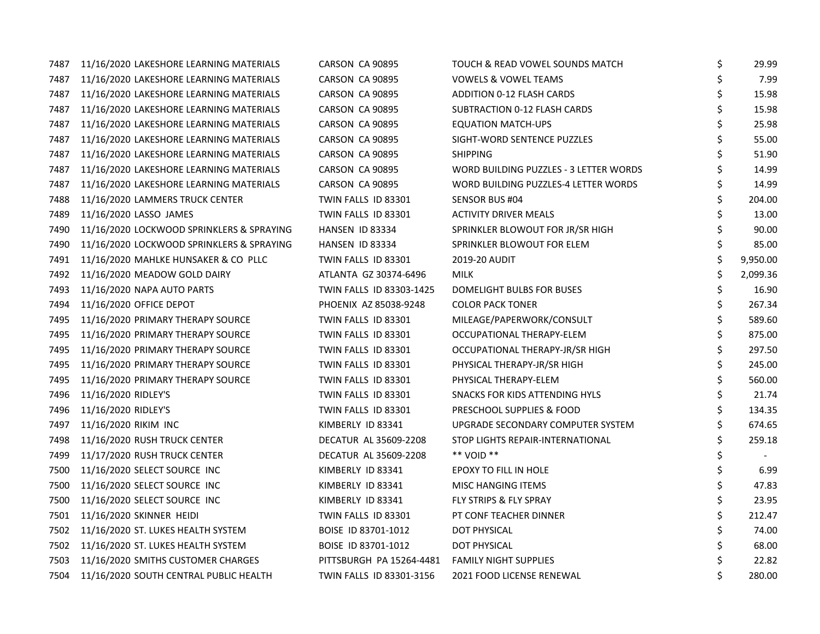| 7487 | 11/16/2020 LAKESHORE LEARNING MATERIALS   | CARSON CA 90895          | TOUCH & READ VOWEL SOUNDS MATCH        | \$ | 29.99    |
|------|-------------------------------------------|--------------------------|----------------------------------------|----|----------|
| 7487 | 11/16/2020 LAKESHORE LEARNING MATERIALS   | CARSON CA 90895          | <b>VOWELS &amp; VOWEL TEAMS</b>        | \$ | 7.99     |
| 7487 | 11/16/2020 LAKESHORE LEARNING MATERIALS   | CARSON CA 90895          | ADDITION 0-12 FLASH CARDS              | \$ | 15.98    |
| 7487 | 11/16/2020 LAKESHORE LEARNING MATERIALS   | CARSON CA 90895          | SUBTRACTION 0-12 FLASH CARDS           | \$ | 15.98    |
| 7487 | 11/16/2020 LAKESHORE LEARNING MATERIALS   | CARSON CA 90895          | <b>EQUATION MATCH-UPS</b>              | \$ | 25.98    |
| 7487 | 11/16/2020 LAKESHORE LEARNING MATERIALS   | CARSON CA 90895          | SIGHT-WORD SENTENCE PUZZLES            | Ś. | 55.00    |
| 7487 | 11/16/2020 LAKESHORE LEARNING MATERIALS   | CARSON CA 90895          | <b>SHIPPING</b>                        | \$ | 51.90    |
| 7487 | 11/16/2020 LAKESHORE LEARNING MATERIALS   | CARSON CA 90895          | WORD BUILDING PUZZLES - 3 LETTER WORDS | \$ | 14.99    |
| 7487 | 11/16/2020 LAKESHORE LEARNING MATERIALS   | CARSON CA 90895          | WORD BUILDING PUZZLES-4 LETTER WORDS   | \$ | 14.99    |
| 7488 | 11/16/2020 LAMMERS TRUCK CENTER           | TWIN FALLS ID 83301      | SENSOR BUS #04                         | Ś  | 204.00   |
| 7489 | 11/16/2020 LASSO JAMES                    | TWIN FALLS ID 83301      | <b>ACTIVITY DRIVER MEALS</b>           |    | 13.00    |
| 7490 | 11/16/2020 LOCKWOOD SPRINKLERS & SPRAYING | HANSEN ID 83334          | SPRINKLER BLOWOUT FOR JR/SR HIGH       |    | 90.00    |
| 7490 | 11/16/2020 LOCKWOOD SPRINKLERS & SPRAYING | HANSEN ID 83334          | SPRINKLER BLOWOUT FOR ELEM             | \$ | 85.00    |
| 7491 | 11/16/2020 MAHLKE HUNSAKER & CO PLLC      | TWIN FALLS ID 83301      | 2019-20 AUDIT                          |    | 9,950.00 |
| 7492 | 11/16/2020 MEADOW GOLD DAIRY              | ATLANTA GZ 30374-6496    | MILK                                   | \$ | 2,099.36 |
| 7493 | 11/16/2020 NAPA AUTO PARTS                | TWIN FALLS ID 83303-1425 | DOMELIGHT BULBS FOR BUSES              | \$ | 16.90    |
| 7494 | 11/16/2020 OFFICE DEPOT                   | PHOENIX AZ 85038-9248    | <b>COLOR PACK TONER</b>                | \$ | 267.34   |
| 7495 | 11/16/2020 PRIMARY THERAPY SOURCE         | TWIN FALLS ID 83301      | MILEAGE/PAPERWORK/CONSULT              | \$ | 589.60   |
| 7495 | 11/16/2020 PRIMARY THERAPY SOURCE         | TWIN FALLS ID 83301      | OCCUPATIONAL THERAPY-ELEM              | \$ | 875.00   |
| 7495 | 11/16/2020 PRIMARY THERAPY SOURCE         | TWIN FALLS ID 83301      | OCCUPATIONAL THERAPY-JR/SR HIGH        | \$ | 297.50   |
| 7495 | 11/16/2020 PRIMARY THERAPY SOURCE         | TWIN FALLS ID 83301      | PHYSICAL THERAPY-JR/SR HIGH            | \$ | 245.00   |
| 7495 | 11/16/2020 PRIMARY THERAPY SOURCE         | TWIN FALLS ID 83301      | PHYSICAL THERAPY-ELEM                  | \$ | 560.00   |
| 7496 | 11/16/2020 RIDLEY'S                       | TWIN FALLS ID 83301      | SNACKS FOR KIDS ATTENDING HYLS         | \$ | 21.74    |
| 7496 | 11/16/2020 RIDLEY'S                       | TWIN FALLS ID 83301      | PRESCHOOL SUPPLIES & FOOD              | \$ | 134.35   |
| 7497 | 11/16/2020 RIKIM INC                      | KIMBERLY ID 83341        | UPGRADE SECONDARY COMPUTER SYSTEM      | Ś. | 674.65   |
| 7498 | 11/16/2020 RUSH TRUCK CENTER              | DECATUR AL 35609-2208    | STOP LIGHTS REPAIR-INTERNATIONAL       | Ś  | 259.18   |
| 7499 | 11/17/2020 RUSH TRUCK CENTER              | DECATUR AL 35609-2208    | ** VOID **                             |    |          |
| 7500 | 11/16/2020 SELECT SOURCE INC              | KIMBERLY ID 83341        | EPOXY TO FILL IN HOLE                  |    | 6.99     |
| 7500 | 11/16/2020 SELECT SOURCE INC              | KIMBERLY ID 83341        | MISC HANGING ITEMS                     | \$ | 47.83    |
| 7500 | 11/16/2020 SELECT SOURCE INC              | KIMBERLY ID 83341        | FLY STRIPS & FLY SPRAY                 | \$ | 23.95    |
| 7501 | 11/16/2020 SKINNER HEIDI                  | TWIN FALLS ID 83301      | PT CONF TEACHER DINNER                 | \$ | 212.47   |
| 7502 | 11/16/2020 ST. LUKES HEALTH SYSTEM        | BOISE ID 83701-1012      | DOT PHYSICAL                           | \$ | 74.00    |
| 7502 | 11/16/2020 ST. LUKES HEALTH SYSTEM        | BOISE ID 83701-1012      | DOT PHYSICAL                           | \$ | 68.00    |
| 7503 | 11/16/2020 SMITHS CUSTOMER CHARGES        | PITTSBURGH PA 15264-4481 | <b>FAMILY NIGHT SUPPLIES</b>           |    | 22.82    |
| 7504 | 11/16/2020 SOUTH CENTRAL PUBLIC HEALTH    | TWIN FALLS ID 83301-3156 | 2021 FOOD LICENSE RENEWAL              | \$ | 280.00   |